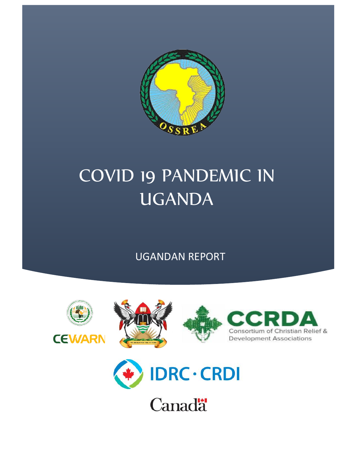

# COVID 19 PANDEMIC IN UGANDA

UGANDAN REPORT







**Canadä**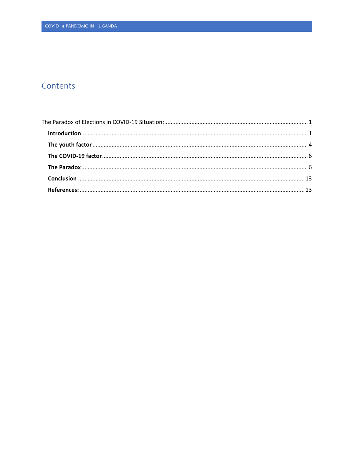# Contents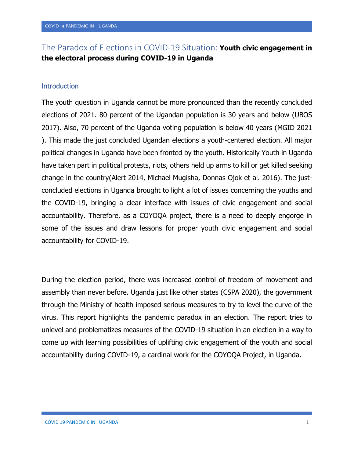# <span id="page-2-0"></span>The Paradox of Elections in COVID-19 Situation: **Youth civic engagement in the electoral process during COVID-19 in Uganda**

## <span id="page-2-1"></span>**Introduction**

The youth question in Uganda cannot be more pronounced than the recently concluded elections of 2021. 80 percent of the Ugandan population is 30 years and below (UBOS 2017). Also, 70 percent of the Uganda voting population is below 40 years (MGID 2021 ). This made the just concluded Ugandan elections a youth-centered election. All major political changes in Uganda have been fronted by the youth. Historically Youth in Uganda have taken part in political protests, riots, others held up arms to kill or get killed seeking change in the country(Alert 2014, Michael Mugisha, Donnas Ojok et al. 2016). The justconcluded elections in Uganda brought to light a lot of issues concerning the youths and the COVID-19, bringing a clear interface with issues of civic engagement and social accountability. Therefore, as a COYOQA project, there is a need to deeply engorge in some of the issues and draw lessons for proper youth civic engagement and social accountability for COVID-19.

During the election period, there was increased control of freedom of movement and assembly than never before. Uganda just like other states (CSPA 2020), the government through the Ministry of health imposed serious measures to try to level the curve of the virus. This report highlights the pandemic paradox in an election. The report tries to unlevel and problematizes measures of the COVID-19 situation in an election in a way to come up with learning possibilities of uplifting civic engagement of the youth and social accountability during COVID-19, a cardinal work for the COYOQA Project, in Uganda.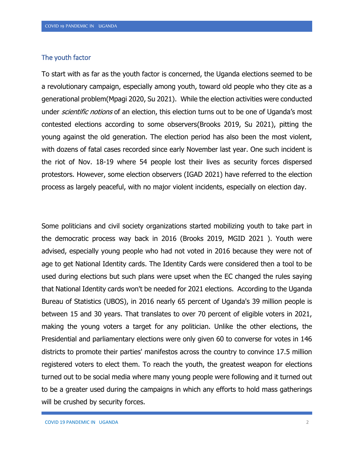## <span id="page-3-0"></span>The youth factor

To start with as far as the youth factor is concerned, the Uganda elections seemed to be a revolutionary campaign, especially among youth, toward old people who they cite as a generational problem(Mpagi 2020, Su 2021). While the election activities were conducted under *scientific notions* of an election, this election turns out to be one of Uganda's most contested elections according to some observers(Brooks 2019, Su 2021), pitting the young against the old generation. The election period has also been the most violent, with dozens of fatal cases recorded since early November last year. One such incident is the riot of Nov. 18-19 where 54 people lost their lives as security forces dispersed protestors. However, some election observers (IGAD 2021) have referred to the election process as largely peaceful, with no major violent incidents, especially on election day.

Some politicians and civil society organizations started mobilizing youth to take part in the democratic process way back in 2016 (Brooks 2019, MGID 2021 ). Youth were advised, especially young people who had not voted in 2016 because they were not of age to get National Identity cards. The Identity Cards were considered then a tool to be used during elections but such plans were upset when the EC changed the rules saying that National Identity cards won't be needed for 2021 elections. According to the Uganda Bureau of Statistics (UBOS), in 2016 nearly 65 percent of Uganda's 39 million people is between 15 and 30 years. That translates to over 70 percent of eligible voters in 2021, making the young voters a target for any politician. Unlike the other elections, the Presidential and parliamentary elections were only given 60 to converse for votes in 146 districts to promote their parties' manifestos across the country to convince 17.5 million registered voters to elect them. To reach the youth, the greatest weapon for elections turned out to be social media where many young people were following and it turned out to be a greater used during the campaigns in which any efforts to hold mass gatherings will be crushed by security forces.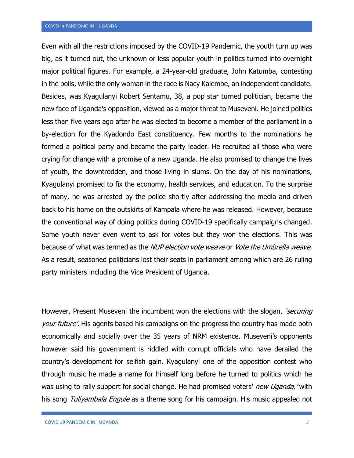Even with all the restrictions imposed by the COVID-19 Pandemic, the youth turn up was big, as it turned out, the unknown or less popular youth in politics turned into overnight major political figures. For example, a 24-year-old graduate, John Katumba, contesting in the polls, while the only woman in the race is Nacy Kalembe, an independent candidate. Besides, was Kyagulanyi Robert Sentamu, 38, a pop star turned politician, became the new face of Uganda's opposition, viewed as a major threat to Museveni. He joined politics less than five years ago after he was elected to become a member of the parliament in a by-election for the Kyadondo East constituency. Few months to the nominations he formed a political party and became the party leader. He recruited all those who were crying for change with a promise of a new Uganda. He also promised to change the lives of youth, the downtrodden, and those living in slums. On the day of his nominations, Kyagulanyi promised to fix the economy, health services, and education. To the surprise of many, he was arrested by the police shortly after addressing the media and driven back to his home on the outskirts of Kampala where he was released. However, because the conventional way of doing politics during COVID-19 specifically campaigns changed. Some youth never even went to ask for votes but they won the elections. This was because of what was termed as the *NUP election vote weave* or *Vote the Umbrella weave*. As a result, seasoned politicians lost their seats in parliament among which are 26 ruling party ministers including the Vice President of Uganda.

However, Present Museveni the incumbent won the elections with the slogan, 'securing' your future'. His agents based his campaigns on the progress the country has made both economically and socially over the 35 years of NRM existence. Museveni's opponents however said his government is riddled with corrupt officials who have derailed the country's development for selfish gain. Kyagulanyi one of the opposition contest who through music he made a name for himself long before he turned to politics which he was using to rally support for social change. He had promised voters' *new Uganda*, 'with his song Tuliyambala Engule as a theme song for his campaign. His music appealed not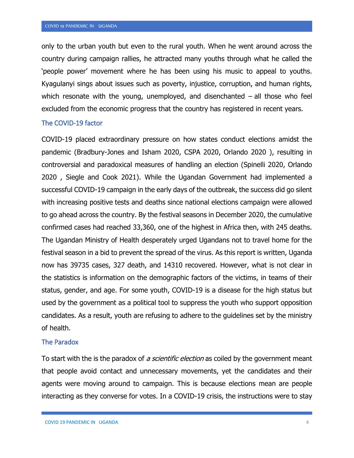only to the urban youth but even to the rural youth. When he went around across the country during campaign rallies, he attracted many youths through what he called the 'people power' movement where he has been using his music to appeal to youths. Kyagulanyi sings about issues such as poverty, injustice, corruption, and human rights, which resonate with the young, unemployed, and disenchanted  $-$  all those who feel excluded from the economic progress that the country has registered in recent years.

#### <span id="page-5-0"></span>The COVID-19 factor

COVID-19 placed extraordinary pressure on how states conduct elections amidst the pandemic (Bradbury-Jones and Isham 2020, CSPA 2020, Orlando 2020 ), resulting in controversial and paradoxical measures of handling an election (Spinelli 2020, Orlando 2020 , Siegle and Cook 2021). While the Ugandan Government had implemented a successful COVID-19 campaign in the early days of the outbreak, the success did go silent with increasing positive tests and deaths since national elections campaign were allowed to go ahead across the country. By the festival seasons in December 2020, the cumulative confirmed cases had reached 33,360, one of the highest in Africa then, with 245 deaths. The Ugandan Ministry of Health desperately urged Ugandans not to travel home for the festival season in a bid to prevent the spread of the virus. As this report is written, Uganda now has 39735 cases, 327 death, and 14310 recovered. However, what is not clear in the statistics is information on the demographic factors of the victims, in teams of their status, gender, and age. For some youth, COVID-19 is a disease for the high status but used by the government as a political tool to suppress the youth who support opposition candidates. As a result, youth are refusing to adhere to the guidelines set by the ministry of health.

#### <span id="page-5-1"></span>The Paradox

To start with the is the paradox of *a scientific election* as coiled by the government meant that people avoid contact and unnecessary movements, yet the candidates and their agents were moving around to campaign. This is because elections mean are people interacting as they converse for votes. In a COVID-19 crisis, the instructions were to stay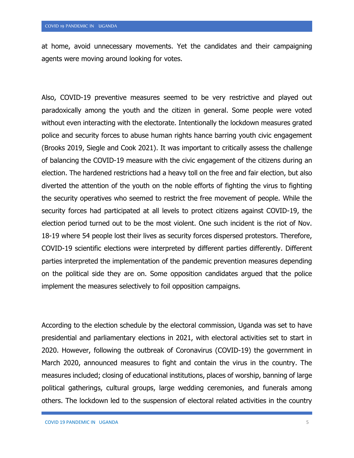at home, avoid unnecessary movements. Yet the candidates and their campaigning agents were moving around looking for votes.

Also, COVID-19 preventive measures seemed to be very restrictive and played out paradoxically among the youth and the citizen in general. Some people were voted without even interacting with the electorate. Intentionally the lockdown measures grated police and security forces to abuse human rights hance barring youth civic engagement (Brooks 2019, Siegle and Cook 2021). It was important to critically assess the challenge of balancing the COVID-19 measure with the civic engagement of the citizens during an election. The hardened restrictions had a heavy toll on the free and fair election, but also diverted the attention of the youth on the noble efforts of fighting the virus to fighting the security operatives who seemed to restrict the free movement of people. While the security forces had participated at all levels to protect citizens against COVID-19, the election period turned out to be the most violent. One such incident is the riot of Nov. 18-19 where 54 people lost their lives as security forces dispersed protestors. Therefore, COVID-19 scientific elections were interpreted by different parties differently. Different parties interpreted the implementation of the pandemic prevention measures depending on the political side they are on. Some opposition candidates argued that the police implement the measures selectively to foil opposition campaigns.

According to the election schedule by the electoral commission, Uganda was set to have presidential and parliamentary elections in 2021, with electoral activities set to start in 2020. However, following the outbreak of Coronavirus (COVID-19) the government in March 2020, announced measures to fight and contain the virus in the country. The measures included; closing of educational institutions, places of worship, banning of large political gatherings, cultural groups, large wedding ceremonies, and funerals among others. The lockdown led to the suspension of electoral related activities in the country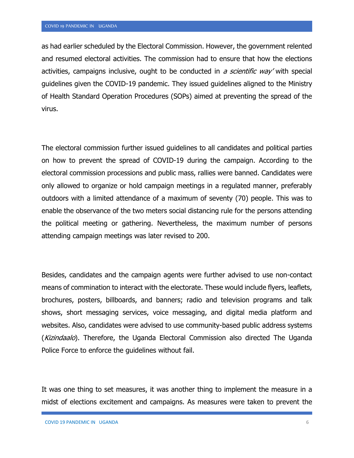as had earlier scheduled by the Electoral Commission. However, the government relented and resumed electoral activities. The commission had to ensure that how the elections activities, campaigns inclusive, ought to be conducted in a scientific way' with special guidelines given the COVID-19 pandemic. They issued guidelines aligned to the Ministry of Health Standard Operation Procedures (SOPs) aimed at preventing the spread of the virus.

The electoral commission further issued guidelines to all candidates and political parties on how to prevent the spread of COVID-19 during the campaign. According to the electoral commission processions and public mass, rallies were banned. Candidates were only allowed to organize or hold campaign meetings in a regulated manner, preferably outdoors with a limited attendance of a maximum of seventy (70) people. This was to enable the observance of the two meters social distancing rule for the persons attending the political meeting or gathering. Nevertheless, the maximum number of persons attending campaign meetings was later revised to 200.

Besides, candidates and the campaign agents were further advised to use non-contact means of commination to interact with the electorate. These would include flyers, leaflets, brochures, posters, billboards, and banners; radio and television programs and talk shows, short messaging services, voice messaging, and digital media platform and websites. Also, candidates were advised to use community-based public address systems (Kizindaalo). Therefore, the Uganda Electoral Commission also directed The Uganda Police Force to enforce the guidelines without fail.

It was one thing to set measures, it was another thing to implement the measure in a midst of elections excitement and campaigns. As measures were taken to prevent the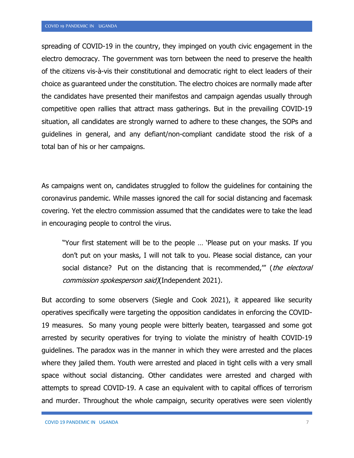spreading of COVID-19 in the country, they impinged on youth civic engagement in the electro democracy. The government was torn between the need to preserve the health of the citizens vis-à-vis their constitutional and democratic right to elect leaders of their choice as guaranteed under the constitution. The electro choices are normally made after the candidates have presented their manifestos and campaign agendas usually through competitive open rallies that attract mass gatherings. But in the prevailing COVID-19 situation, all candidates are strongly warned to adhere to these changes, the SOPs and guidelines in general, and any defiant/non-compliant candidate stood the risk of a total ban of his or her campaigns.

As campaigns went on, candidates struggled to follow the guidelines for containing the coronavirus pandemic. While masses ignored the call for social distancing and facemask covering. Yet the electro commission assumed that the candidates were to take the lead in encouraging people to control the virus.

"Your first statement will be to the people … 'Please put on your masks. If you don't put on your masks, I will not talk to you. Please social distance, can your social distance? Put on the distancing that is recommended,"" (the electoral commission spokesperson said)(Independent 2021).

But according to some observers (Siegle and Cook 2021), it appeared like security operatives specifically were targeting the opposition candidates in enforcing the COVID-19 measures. So many young people were bitterly beaten, teargassed and some got arrested by security operatives for trying to violate the ministry of health COVID-19 guidelines. The paradox was in the manner in which they were arrested and the places where they jailed them. Youth were arrested and placed in tight cells with a very small space without social distancing. Other candidates were arrested and charged with attempts to spread COVID-19. A case an equivalent with to capital offices of terrorism and murder. Throughout the whole campaign, security operatives were seen violently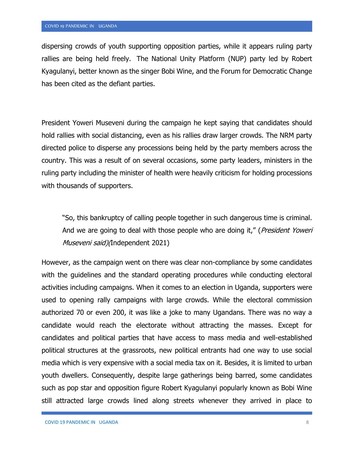dispersing crowds of youth supporting opposition parties, while it appears ruling party rallies are being held freely. The National Unity Platform (NUP) party led by Robert Kyagulanyi, better known as the singer Bobi Wine, and the Forum for Democratic Change has been cited as the defiant parties.

President Yoweri Museveni during the campaign he kept saying that candidates should hold rallies with social distancing, even as his rallies draw larger crowds. The NRM party directed police to disperse any processions being held by the party members across the country. This was a result of on several occasions, some party leaders, ministers in the ruling party including the minister of health were heavily criticism for holding processions with thousands of supporters.

"So, this bankruptcy of calling people together in such dangerous time is criminal. And we are going to deal with those people who are doing it," (*President Yoweri* Museveni said) (Independent 2021)

However, as the campaign went on there was clear non-compliance by some candidates with the guidelines and the standard operating procedures while conducting electoral activities including campaigns. When it comes to an election in Uganda, supporters were used to opening rally campaigns with large crowds. While the electoral commission authorized 70 or even 200, it was like a joke to many Ugandans. There was no way a candidate would reach the electorate without attracting the masses. Except for candidates and political parties that have access to mass media and well-established political structures at the grassroots, new political entrants had one way to use social media which is very expensive with a social media tax on it. Besides, it is limited to urban youth dwellers. Consequently, despite large gatherings being barred, some candidates such as pop star and opposition figure Robert Kyagulanyi popularly known as Bobi Wine still attracted large crowds lined along streets whenever they arrived in place to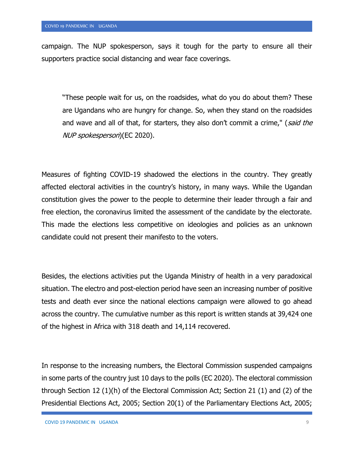campaign. The NUP spokesperson, says it tough for the party to ensure all their supporters practice social distancing and wear face coverings.

"These people wait for us, on the roadsides, what do you do about them? These are Ugandans who are hungry for change. So, when they stand on the roadsides and wave and all of that, for starters, they also don't commit a crime," (said the NUP spokesperson)(EC 2020).

Measures of fighting COVID-19 shadowed the elections in the country. They greatly affected electoral activities in the country's history, in many ways. While the Ugandan constitution gives the power to the people to determine their leader through a fair and free election, the coronavirus limited the assessment of the candidate by the electorate. This made the elections less competitive on ideologies and policies as an unknown candidate could not present their manifesto to the voters.

Besides, the elections activities put the Uganda Ministry of health in a very paradoxical situation. The electro and post-election period have seen an increasing number of positive tests and death ever since the national elections campaign were allowed to go ahead across the country. The cumulative number as this report is written stands at 39,424 one of the highest in Africa with 318 death and 14,114 recovered.

In response to the increasing numbers, the Electoral Commission suspended campaigns in some parts of the country just 10 days to the polls (EC 2020). The electoral commission through Section 12 (1)(h) of the Electoral Commission Act; Section 21 (1) and (2) of the Presidential Elections Act, 2005; Section 20(1) of the Parliamentary Elections Act, 2005;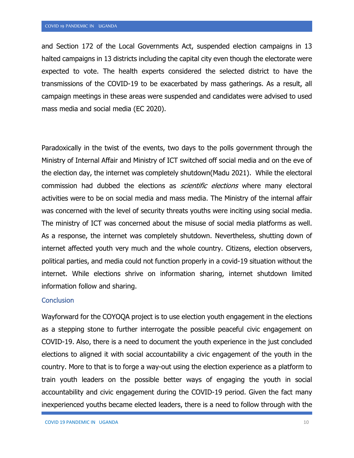and Section 172 of the Local Governments Act, suspended election campaigns in 13 halted campaigns in 13 districts including the capital city even though the electorate were expected to vote. The health experts considered the selected district to have the transmissions of the COVID-19 to be exacerbated by mass gatherings. As a result, all campaign meetings in these areas were suspended and candidates were advised to used mass media and social media (EC 2020).

Paradoxically in the twist of the events, two days to the polls government through the Ministry of Internal Affair and Ministry of ICT switched off social media and on the eve of the election day, the internet was completely shutdown(Madu 2021). While the electoral commission had dubbed the elections as *scientific elections* where many electoral activities were to be on social media and mass media. The Ministry of the internal affair was concerned with the level of security threats youths were inciting using social media. The ministry of ICT was concerned about the misuse of social media platforms as well. As a response, the internet was completely shutdown. Nevertheless, shutting down of internet affected youth very much and the whole country. Citizens, election observers, political parties, and media could not function properly in a covid-19 situation without the internet. While elections shrive on information sharing, internet shutdown limited information follow and sharing.

## <span id="page-11-0"></span>**Conclusion**

Wayforward for the COYOQA project is to use election youth engagement in the elections as a stepping stone to further interrogate the possible peaceful civic engagement on COVID-19. Also, there is a need to document the youth experience in the just concluded elections to aligned it with social accountability a civic engagement of the youth in the country. More to that is to forge a way-out using the election experience as a platform to train youth leaders on the possible better ways of engaging the youth in social accountability and civic engagement during the COVID-19 period. Given the fact many inexperienced youths became elected leaders, there is a need to follow through with the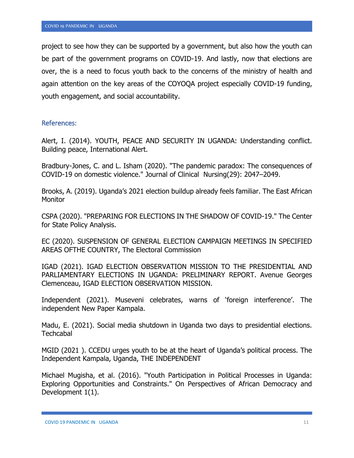project to see how they can be supported by a government, but also how the youth can be part of the government programs on COVID-19. And lastly, now that elections are over, the is a need to focus youth back to the concerns of the ministry of health and again attention on the key areas of the COYOQA project especially COVID-19 funding, youth engagement, and social accountability.

#### <span id="page-12-0"></span>References:

Alert, I. (2014). YOUTH, PEACE AND SECURITY IN UGANDA: Understanding conflict. Building peace, International Alert.

Bradbury-Jones, C. and L. Isham (2020). "The pandemic paradox: The consequences of COVID-19 on domestic violence." Journal of Clinical Nursing(29): 2047–2049.

Brooks, A. (2019). Uganda's 2021 election buildup already feels familiar. The East African **Monitor** 

CSPA (2020). "PREPARING FOR ELECTIONS IN THE SHADOW OF COVID-19." The Center for State Policy Analysis.

EC (2020). SUSPENSION OF GENERAL ELECTION CAMPAIGN MEETINGS IN SPECIFIED AREAS OFTHE COUNTRY, The Electoral Commission

IGAD (2021). IGAD ELECTION OBSERVATION MISSION TO THE PRESIDENTIAL AND PARLIAMENTARY ELECTIONS IN UGANDA: PRELIMINARY REPORT. Avenue Georges Clemenceau, IGAD ELECTION OBSERVATION MISSION.

Independent (2021). Museveni celebrates, warns of 'foreign interference'. The independent New Paper Kampala.

Madu, E. (2021). Social media shutdown in Uganda two days to presidential elections. **Techcabal** 

MGID (2021 ). CCEDU urges youth to be at the heart of Uganda's political process. The Independent Kampala, Uganda, THE INDEPENDENT

Michael Mugisha, et al. (2016). "Youth Participation in Political Processes in Uganda: Exploring Opportunities and Constraints." On Perspectives of African Democracy and Development 1(1).

COVID 19 PANDEMIC IN UGANDA 11